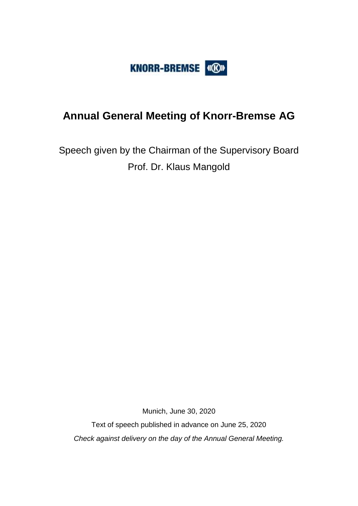

# **Annual General Meeting of Knorr-Bremse AG**

Speech given by the Chairman of the Supervisory Board Prof. Dr. Klaus Mangold

Munich, June 30, 2020

Text of speech published in advance on June 25, 2020 *Check against delivery on the day of the Annual General Meeting.*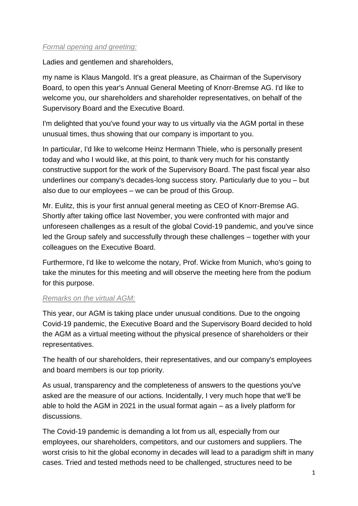## *Formal opening and greeting:*

Ladies and gentlemen and shareholders,

my name is Klaus Mangold. It's a great pleasure, as Chairman of the Supervisory Board, to open this year's Annual General Meeting of Knorr-Bremse AG. I'd like to welcome you, our shareholders and shareholder representatives, on behalf of the Supervisory Board and the Executive Board.

I'm delighted that you've found your way to us virtually via the AGM portal in these unusual times, thus showing that our company is important to you.

In particular, I'd like to welcome Heinz Hermann Thiele, who is personally present today and who I would like, at this point, to thank very much for his constantly constructive support for the work of the Supervisory Board. The past fiscal year also underlines our company's decades-long success story. Particularly due to you – but also due to our employees – we can be proud of this Group.

Mr. Eulitz, this is your first annual general meeting as CEO of Knorr-Bremse AG. Shortly after taking office last November, you were confronted with major and unforeseen challenges as a result of the global Covid-19 pandemic, and you've since led the Group safely and successfully through these challenges – together with your colleagues on the Executive Board.

Furthermore, I'd like to welcome the notary, Prof. Wicke from Munich, who's going to take the minutes for this meeting and will observe the meeting here from the podium for this purpose.

#### *Remarks on the virtual AGM:*

This year, our AGM is taking place under unusual conditions. Due to the ongoing Covid-19 pandemic, the Executive Board and the Supervisory Board decided to hold the AGM as a virtual meeting without the physical presence of shareholders or their representatives.

The health of our shareholders, their representatives, and our company's employees and board members is our top priority.

As usual, transparency and the completeness of answers to the questions you've asked are the measure of our actions. Incidentally, I very much hope that we'll be able to hold the AGM in 2021 in the usual format again – as a lively platform for discussions.

The Covid-19 pandemic is demanding a lot from us all, especially from our employees, our shareholders, competitors, and our customers and suppliers. The worst crisis to hit the global economy in decades will lead to a paradigm shift in many cases. Tried and tested methods need to be challenged, structures need to be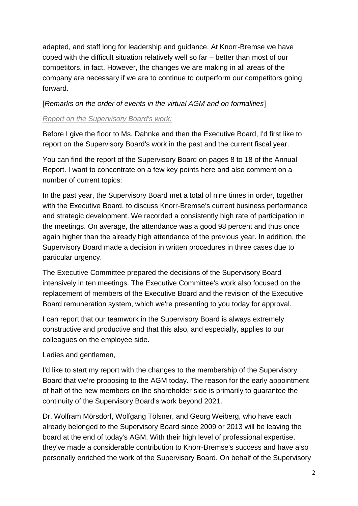adapted, and staff long for leadership and guidance. At Knorr-Bremse we have coped with the difficult situation relatively well so far – better than most of our competitors, in fact. However, the changes we are making in all areas of the company are necessary if we are to continue to outperform our competitors going forward.

## [*Remarks on the order of events in the virtual AGM and on formalities*]

## *Report on the Supervisory Board's work:*

Before I give the floor to Ms. Dahnke and then the Executive Board, I'd first like to report on the Supervisory Board's work in the past and the current fiscal year.

You can find the report of the Supervisory Board on pages 8 to 18 of the Annual Report. I want to concentrate on a few key points here and also comment on a number of current topics:

In the past year, the Supervisory Board met a total of nine times in order, together with the Executive Board, to discuss Knorr-Bremse's current business performance and strategic development. We recorded a consistently high rate of participation in the meetings. On average, the attendance was a good 98 percent and thus once again higher than the already high attendance of the previous year. In addition, the Supervisory Board made a decision in written procedures in three cases due to particular urgency.

The Executive Committee prepared the decisions of the Supervisory Board intensively in ten meetings. The Executive Committee's work also focused on the replacement of members of the Executive Board and the revision of the Executive Board remuneration system, which we're presenting to you today for approval.

I can report that our teamwork in the Supervisory Board is always extremely constructive and productive and that this also, and especially, applies to our colleagues on the employee side.

Ladies and gentlemen,

I'd like to start my report with the changes to the membership of the Supervisory Board that we're proposing to the AGM today. The reason for the early appointment of half of the new members on the shareholder side is primarily to guarantee the continuity of the Supervisory Board's work beyond 2021.

Dr. Wolfram Mörsdorf, Wolfgang Tölsner, and Georg Weiberg, who have each already belonged to the Supervisory Board since 2009 or 2013 will be leaving the board at the end of today's AGM. With their high level of professional expertise, they've made a considerable contribution to Knorr-Bremse's success and have also personally enriched the work of the Supervisory Board. On behalf of the Supervisory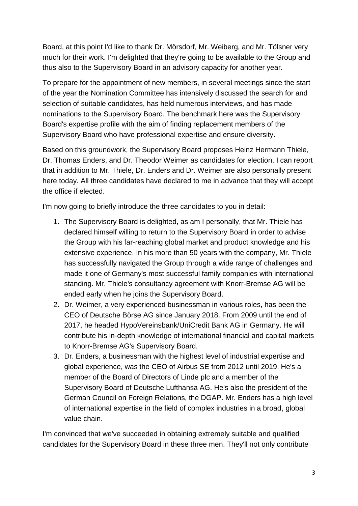Board, at this point I'd like to thank Dr. Mörsdorf, Mr. Weiberg, and Mr. Tölsner very much for their work. I'm delighted that they're going to be available to the Group and thus also to the Supervisory Board in an advisory capacity for another year.

To prepare for the appointment of new members, in several meetings since the start of the year the Nomination Committee has intensively discussed the search for and selection of suitable candidates, has held numerous interviews, and has made nominations to the Supervisory Board. The benchmark here was the Supervisory Board's expertise profile with the aim of finding replacement members of the Supervisory Board who have professional expertise and ensure diversity.

Based on this groundwork, the Supervisory Board proposes Heinz Hermann Thiele, Dr. Thomas Enders, and Dr. Theodor Weimer as candidates for election. I can report that in addition to Mr. Thiele, Dr. Enders and Dr. Weimer are also personally present here today. All three candidates have declared to me in advance that they will accept the office if elected.

I'm now going to briefly introduce the three candidates to you in detail:

- 1. The Supervisory Board is delighted, as am I personally, that Mr. Thiele has declared himself willing to return to the Supervisory Board in order to advise the Group with his far-reaching global market and product knowledge and his extensive experience. In his more than 50 years with the company, Mr. Thiele has successfully navigated the Group through a wide range of challenges and made it one of Germany's most successful family companies with international standing. Mr. Thiele's consultancy agreement with Knorr-Bremse AG will be ended early when he joins the Supervisory Board.
- 2. Dr. Weimer, a very experienced businessman in various roles, has been the CEO of Deutsche Börse AG since January 2018. From 2009 until the end of 2017, he headed HypoVereinsbank/UniCredit Bank AG in Germany. He will contribute his in-depth knowledge of international financial and capital markets to Knorr-Bremse AG's Supervisory Board.
- 3. Dr. Enders, a businessman with the highest level of industrial expertise and global experience, was the CEO of Airbus SE from 2012 until 2019. He's a member of the Board of Directors of Linde plc and a member of the Supervisory Board of Deutsche Lufthansa AG. He's also the president of the German Council on Foreign Relations, the DGAP. Mr. Enders has a high level of international expertise in the field of complex industries in a broad, global value chain.

I'm convinced that we've succeeded in obtaining extremely suitable and qualified candidates for the Supervisory Board in these three men. They'll not only contribute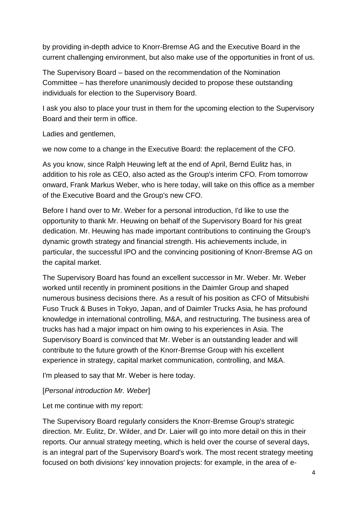by providing in-depth advice to Knorr-Bremse AG and the Executive Board in the current challenging environment, but also make use of the opportunities in front of us.

The Supervisory Board – based on the recommendation of the Nomination Committee – has therefore unanimously decided to propose these outstanding individuals for election to the Supervisory Board.

I ask you also to place your trust in them for the upcoming election to the Supervisory Board and their term in office.

Ladies and gentlemen,

we now come to a change in the Executive Board: the replacement of the CFO.

As you know, since Ralph Heuwing left at the end of April, Bernd Eulitz has, in addition to his role as CEO, also acted as the Group's interim CFO. From tomorrow onward, Frank Markus Weber, who is here today, will take on this office as a member of the Executive Board and the Group's new CFO.

Before I hand over to Mr. Weber for a personal introduction, I'd like to use the opportunity to thank Mr. Heuwing on behalf of the Supervisory Board for his great dedication. Mr. Heuwing has made important contributions to continuing the Group's dynamic growth strategy and financial strength. His achievements include, in particular, the successful IPO and the convincing positioning of Knorr-Bremse AG on the capital market.

The Supervisory Board has found an excellent successor in Mr. Weber. Mr. Weber worked until recently in prominent positions in the Daimler Group and shaped numerous business decisions there. As a result of his position as CFO of Mitsubishi Fuso Truck & Buses in Tokyo, Japan, and of Daimler Trucks Asia, he has profound knowledge in international controlling, M&A, and restructuring. The business area of trucks has had a major impact on him owing to his experiences in Asia. The Supervisory Board is convinced that Mr. Weber is an outstanding leader and will contribute to the future growth of the Knorr-Bremse Group with his excellent experience in strategy, capital market communication, controlling, and M&A.

I'm pleased to say that Mr. Weber is here today.

#### [*Personal introduction Mr. Weber*]

Let me continue with my report:

The Supervisory Board regularly considers the Knorr-Bremse Group's strategic direction. Mr. Eulitz, Dr. Wilder, and Dr. Laier will go into more detail on this in their reports. Our annual strategy meeting, which is held over the course of several days, is an integral part of the Supervisory Board's work. The most recent strategy meeting focused on both divisions' key innovation projects: for example, in the area of e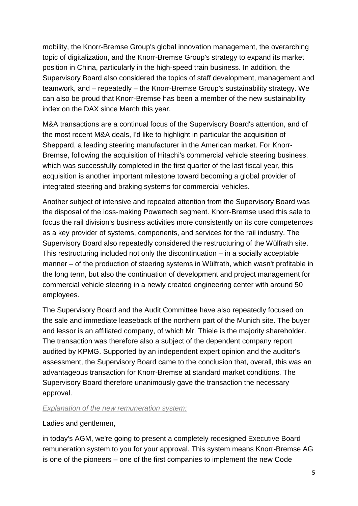mobility, the Knorr-Bremse Group's global innovation management, the overarching topic of digitalization, and the Knorr-Bremse Group's strategy to expand its market position in China, particularly in the high-speed train business. In addition, the Supervisory Board also considered the topics of staff development, management and teamwork, and – repeatedly – the Knorr-Bremse Group's sustainability strategy. We can also be proud that Knorr-Bremse has been a member of the new sustainability index on the DAX since March this year.

M&A transactions are a continual focus of the Supervisory Board's attention, and of the most recent M&A deals, I'd like to highlight in particular the acquisition of Sheppard, a leading steering manufacturer in the American market. For Knorr-Bremse, following the acquisition of Hitachi's commercial vehicle steering business, which was successfully completed in the first quarter of the last fiscal year, this acquisition is another important milestone toward becoming a global provider of integrated steering and braking systems for commercial vehicles.

Another subject of intensive and repeated attention from the Supervisory Board was the disposal of the loss-making Powertech segment. Knorr-Bremse used this sale to focus the rail division's business activities more consistently on its core competences as a key provider of systems, components, and services for the rail industry. The Supervisory Board also repeatedly considered the restructuring of the Wülfrath site. This restructuring included not only the discontinuation – in a socially acceptable manner – of the production of steering systems in Wülfrath, which wasn't profitable in the long term, but also the continuation of development and project management for commercial vehicle steering in a newly created engineering center with around 50 employees.

The Supervisory Board and the Audit Committee have also repeatedly focused on the sale and immediate leaseback of the northern part of the Munich site. The buyer and lessor is an affiliated company, of which Mr. Thiele is the majority shareholder. The transaction was therefore also a subject of the dependent company report audited by KPMG. Supported by an independent expert opinion and the auditor's assessment, the Supervisory Board came to the conclusion that, overall, this was an advantageous transaction for Knorr-Bremse at standard market conditions. The Supervisory Board therefore unanimously gave the transaction the necessary approval.

#### *Explanation of the new remuneration system:*

Ladies and gentlemen,

in today's AGM, we're going to present a completely redesigned Executive Board remuneration system to you for your approval. This system means Knorr-Bremse AG is one of the pioneers – one of the first companies to implement the new Code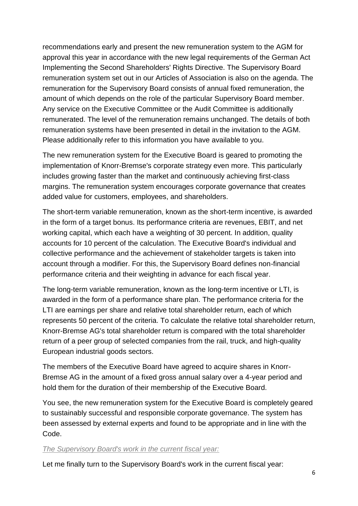recommendations early and present the new remuneration system to the AGM for approval this year in accordance with the new legal requirements of the German Act Implementing the Second Shareholders' Rights Directive. The Supervisory Board remuneration system set out in our Articles of Association is also on the agenda. The remuneration for the Supervisory Board consists of annual fixed remuneration, the amount of which depends on the role of the particular Supervisory Board member. Any service on the Executive Committee or the Audit Committee is additionally remunerated. The level of the remuneration remains unchanged. The details of both remuneration systems have been presented in detail in the invitation to the AGM. Please additionally refer to this information you have available to you.

The new remuneration system for the Executive Board is geared to promoting the implementation of Knorr-Bremse's corporate strategy even more. This particularly includes growing faster than the market and continuously achieving first-class margins. The remuneration system encourages corporate governance that creates added value for customers, employees, and shareholders.

The short-term variable remuneration, known as the short-term incentive, is awarded in the form of a target bonus. Its performance criteria are revenues, EBIT, and net working capital, which each have a weighting of 30 percent. In addition, quality accounts for 10 percent of the calculation. The Executive Board's individual and collective performance and the achievement of stakeholder targets is taken into account through a modifier. For this, the Supervisory Board defines non-financial performance criteria and their weighting in advance for each fiscal year.

The long-term variable remuneration, known as the long-term incentive or LTI, is awarded in the form of a performance share plan. The performance criteria for the LTI are earnings per share and relative total shareholder return, each of which represents 50 percent of the criteria. To calculate the relative total shareholder return, Knorr-Bremse AG's total shareholder return is compared with the total shareholder return of a peer group of selected companies from the rail, truck, and high-quality European industrial goods sectors.

The members of the Executive Board have agreed to acquire shares in Knorr-Bremse AG in the amount of a fixed gross annual salary over a 4-year period and hold them for the duration of their membership of the Executive Board.

You see, the new remuneration system for the Executive Board is completely geared to sustainably successful and responsible corporate governance. The system has been assessed by external experts and found to be appropriate and in line with the Code.

#### *The Supervisory Board's work in the current fiscal year:*

Let me finally turn to the Supervisory Board's work in the current fiscal year: